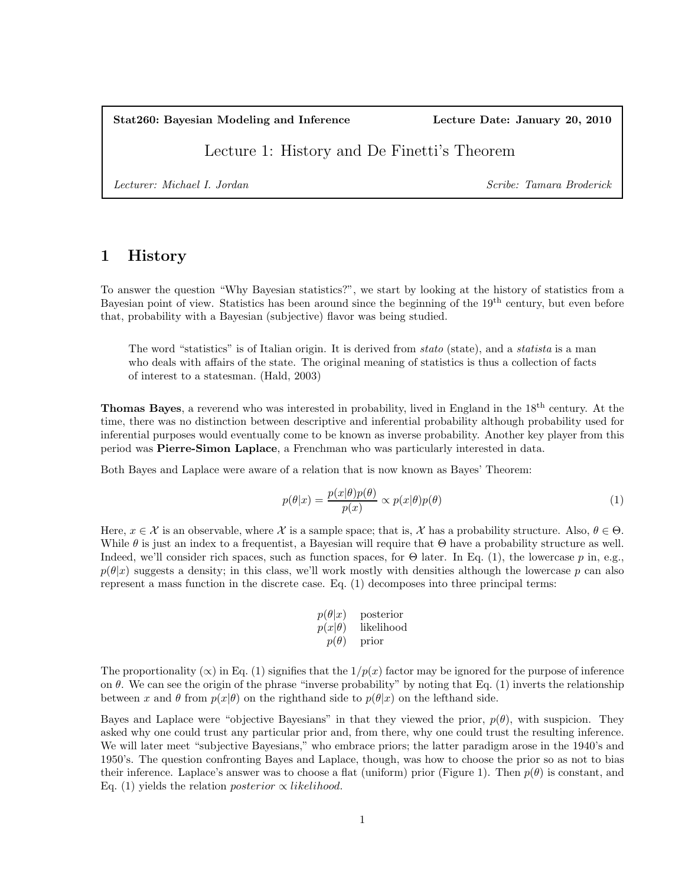Stat260: Bayesian Modeling and Inference Lecture Date: January 20, 2010

Lecture 1: History and De Finetti's Theorem

*Lecturer: Michael I. Jordan Scribe: Tamara Broderick*

## 1 History

To answer the question "Why Bayesian statistics?", we start by looking at the history of statistics from a Bayesian point of view. Statistics has been around since the beginning of the 19th century, but even before that, probability with a Bayesian (subjective) flavor was being studied.

The word "statistics" is of Italian origin. It is derived from *stato* (state), and a *statista* is a man who deals with affairs of the state. The original meaning of statistics is thus a collection of facts of interest to a statesman. (Hald, 2003)

Thomas Bayes, a reverend who was interested in probability, lived in England in the 18th century. At the time, there was no distinction between descriptive and inferential probability although probability used for inferential purposes would eventually come to be known as inverse probability. Another key player from this period was Pierre-Simon Laplace, a Frenchman who was particularly interested in data.

Both Bayes and Laplace were aware of a relation that is now known as Bayes' Theorem:

$$
p(\theta|x) = \frac{p(x|\theta)p(\theta)}{p(x)} \propto p(x|\theta)p(\theta)
$$
\n(1)

Here,  $x \in \mathcal{X}$  is an observable, where  $\mathcal{X}$  is a sample space; that is,  $\mathcal{X}$  has a probability structure. Also,  $\theta \in \Theta$ . While  $\theta$  is just an index to a frequentist, a Bayesian will require that  $\Theta$  have a probability structure as well. Indeed, we'll consider rich spaces, such as function spaces, for  $\Theta$  later. In Eq. (1), the lowercase p in, e.g.,  $p(\theta|x)$  suggests a density; in this class, we'll work mostly with densities although the lowercase p can also represent a mass function in the discrete case. Eq. (1) decomposes into three principal terms:

$$
p(\theta|x) \text{ posterior} p(x|\theta) \text{ likelihood} p(\theta) \text{ prior}
$$

The proportionality ( $\infty$ ) in Eq. (1) signifies that the  $1/p(x)$  factor may be ignored for the purpose of inference on  $\theta$ . We can see the origin of the phrase "inverse probability" by noting that Eq. (1) inverts the relationship between x and  $\theta$  from  $p(x|\theta)$  on the righthand side to  $p(\theta|x)$  on the lefthand side.

Bayes and Laplace were "objective Bayesians" in that they viewed the prior,  $p(\theta)$ , with suspicion. They asked why one could trust any particular prior and, from there, why one could trust the resulting inference. We will later meet "subjective Bayesians," who embrace priors; the latter paradigm arose in the 1940's and 1950's. The question confronting Bayes and Laplace, though, was how to choose the prior so as not to bias their inference. Laplace's answer was to choose a flat (uniform) prior (Figure 1). Then  $p(\theta)$  is constant, and Eq. (1) yields the relation *posterior*  $\propto$  *likelihood.*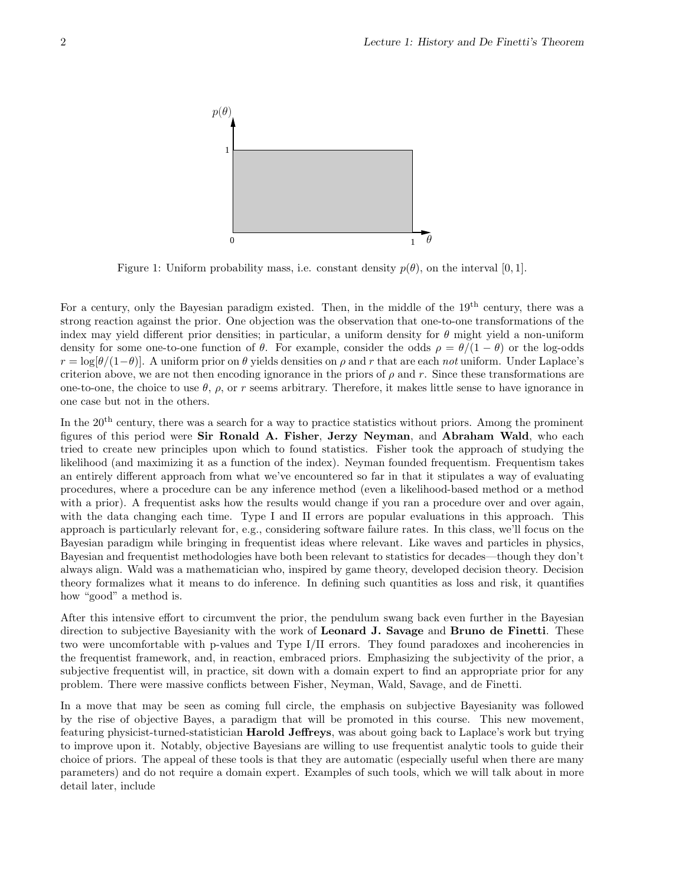

Figure 1: Uniform probability mass, i.e. constant density  $p(\theta)$ , on the interval [0, 1].

For a century, only the Bayesian paradigm existed. Then, in the middle of the 19<sup>th</sup> century, there was a strong reaction against the prior. One objection was the observation that one-to-one transformations of the index may yield different prior densities; in particular, a uniform density for  $\theta$  might yield a non-uniform density for some one-to-one function of  $\theta$ . For example, consider the odds  $\rho = \theta/(1-\theta)$  or the log-odds  $r = \log(\theta/(1-\theta))$ . A uniform prior on  $\theta$  yields densities on  $\rho$  and r that are each *not* uniform. Under Laplace's criterion above, we are not then encoding ignorance in the priors of  $\rho$  and r. Since these transformations are one-to-one, the choice to use  $\theta$ ,  $\rho$ , or r seems arbitrary. Therefore, it makes little sense to have ignorance in one case but not in the others.

In the 20th century, there was a search for a way to practice statistics without priors. Among the prominent figures of this period were Sir Ronald A. Fisher, Jerzy Neyman, and Abraham Wald, who each tried to create new principles upon which to found statistics. Fisher took the approach of studying the likelihood (and maximizing it as a function of the index). Neyman founded frequentism. Frequentism takes an entirely different approach from what we've encountered so far in that it stipulates a way of evaluating procedures, where a procedure can be any inference method (even a likelihood-based method or a method with a prior). A frequentist asks how the results would change if you ran a procedure over and over again, with the data changing each time. Type I and II errors are popular evaluations in this approach. This approach is particularly relevant for, e.g., considering software failure rates. In this class, we'll focus on the Bayesian paradigm while bringing in frequentist ideas where relevant. Like waves and particles in physics, Bayesian and frequentist methodologies have both been relevant to statistics for decades—though they don't always align. Wald was a mathematician who, inspired by game theory, developed decision theory. Decision theory formalizes what it means to do inference. In defining such quantities as loss and risk, it quantifies how "good" a method is.

After this intensive effort to circumvent the prior, the pendulum swang back even further in the Bayesian direction to subjective Bayesianity with the work of **Leonard J. Savage** and **Bruno de Finetti**. These two were uncomfortable with p-values and Type I/II errors. They found paradoxes and incoherencies in the frequentist framework, and, in reaction, embraced priors. Emphasizing the subjectivity of the prior, a subjective frequentist will, in practice, sit down with a domain expert to find an appropriate prior for any problem. There were massive conflicts between Fisher, Neyman, Wald, Savage, and de Finetti.

In a move that may be seen as coming full circle, the emphasis on subjective Bayesianity was followed by the rise of objective Bayes, a paradigm that will be promoted in this course. This new movement, featuring physicist-turned-statistician Harold Jeffreys, was about going back to Laplace's work but trying to improve upon it. Notably, objective Bayesians are willing to use frequentist analytic tools to guide their choice of priors. The appeal of these tools is that they are automatic (especially useful when there are many parameters) and do not require a domain expert. Examples of such tools, which we will talk about in more detail later, include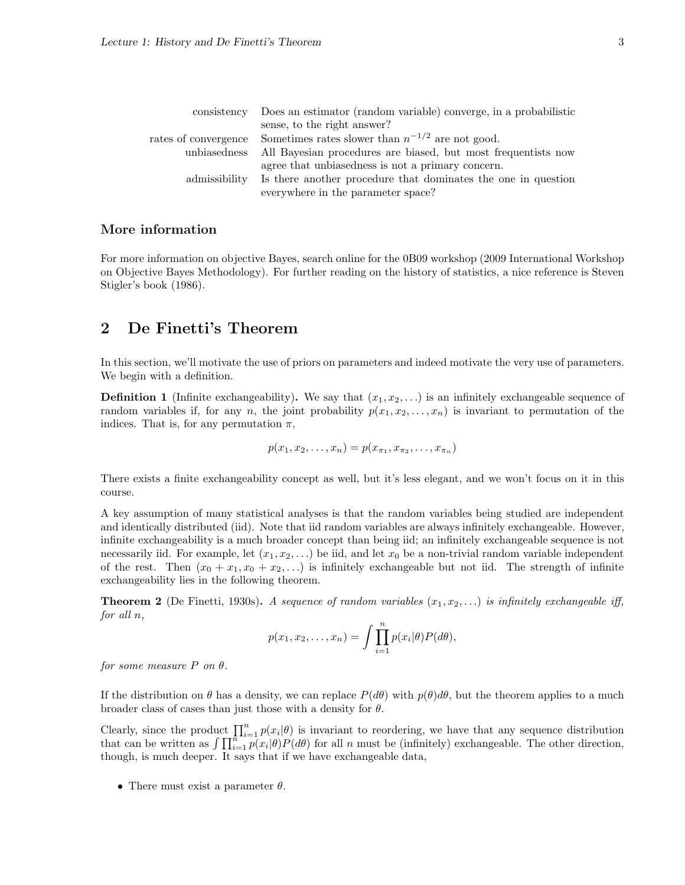|               | consistency Does an estimator (random variable) converge, in a probabilistic |
|---------------|------------------------------------------------------------------------------|
|               | sense, to the right answer?                                                  |
|               | rates of convergence Sometimes rates slower than $n^{-1/2}$ are not good.    |
| unbiasedness  | All Bayesian procedures are biased, but most frequentists now                |
|               | agree that unbiasedness is not a primary concern.                            |
| admissibility | Is there another procedure that dominates the one in question                |
|               | everywhere in the parameter space?                                           |

## More information

For more information on objective Bayes, search online for the 0B09 workshop (2009 International Workshop on Objective Bayes Methodology). For further reading on the history of statistics, a nice reference is Steven Stigler's book (1986).

## 2 De Finetti's Theorem

In this section, we'll motivate the use of priors on parameters and indeed motivate the very use of parameters. We begin with a definition.

**Definition 1** (Infinite exchangeability). We say that  $(x_1, x_2, \ldots)$  is an infinitely exchangeable sequence of random variables if, for any n, the joint probability  $p(x_1, x_2, \ldots, x_n)$  is invariant to permutation of the indices. That is, for any permutation  $\pi$ ,

$$
p(x_1, x_2, \ldots, x_n) = p(x_{\pi_1}, x_{\pi_2}, \ldots, x_{\pi_n})
$$

There exists a finite exchangeability concept as well, but it's less elegant, and we won't focus on it in this course.

A key assumption of many statistical analyses is that the random variables being studied are independent and identically distributed (iid). Note that iid random variables are always infinitely exchangeable. However, infinite exchangeability is a much broader concept than being iid; an infinitely exchangeable sequence is not necessarily iid. For example, let  $(x_1, x_2, ...)$  be iid, and let  $x_0$  be a non-trivial random variable independent of the rest. Then  $(x_0 + x_1, x_0 + x_2, ...)$  is infinitely exchangeable but not iid. The strength of infinite exchangeability lies in the following theorem.

**Theorem 2** (De Finetti, 1930s). A sequence of random variables  $(x_1, x_2, \ldots)$  is infinitely exchangeable iff, *for all* n*,*

$$
p(x_1, x_2, \dots, x_n) = \int \prod_{i=1}^n p(x_i | \theta) P(d\theta),
$$

*for some measure*  $P$  *on*  $\theta$ *.* 

If the distribution on  $\theta$  has a density, we can replace  $P(d\theta)$  with  $p(\theta)d\theta$ , but the theorem applies to a much broader class of cases than just those with a density for  $\theta$ .

Clearly, since the product  $\prod_{i=1}^n p(x_i|\theta)$  is invariant to reordering, we have that any sequence distribution that can be written as  $\int \prod_{i=1}^{n} p(x_i|\theta) P(d\theta)$  for all n must be (infinitely) exchangeable. The other direction, though, is much deeper. It says that if we have exchangeable data,

• There must exist a parameter  $\theta$ .